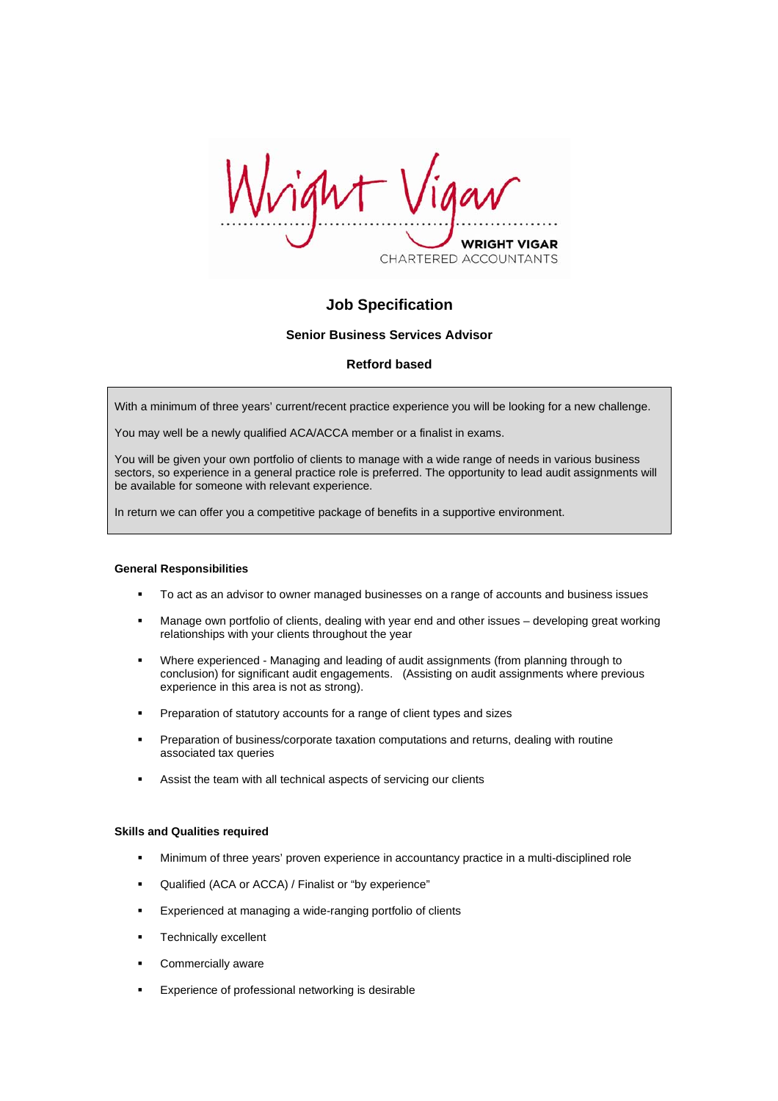CHARTERED ACCOUNTANTS

# **Job Specification**

### **Senior Business Services Advisor**

## **Retford based**

With a minimum of three years' current/recent practice experience you will be looking for a new challenge.

You may well be a newly qualified ACA/ACCA member or a finalist in exams.

You will be given your own portfolio of clients to manage with a wide range of needs in various business sectors, so experience in a general practice role is preferred. The opportunity to lead audit assignments will be available for someone with relevant experience.

In return we can offer you a competitive package of benefits in a supportive environment.

#### **General Responsibilities**

- To act as an advisor to owner managed businesses on a range of accounts and business issues
- Manage own portfolio of clients, dealing with year end and other issues developing great working relationships with your clients throughout the year
- Where experienced Managing and leading of audit assignments (from planning through to conclusion) for significant audit engagements. (Assisting on audit assignments where previous experience in this area is not as strong).
- **Preparation of statutory accounts for a range of client types and sizes**
- Preparation of business/corporate taxation computations and returns, dealing with routine associated tax queries
- **Assist the team with all technical aspects of servicing our clients**

#### **Skills and Qualities required**

- Minimum of three years' proven experience in accountancy practice in a multi-disciplined role
- Qualified (ACA or ACCA) / Finalist or "by experience"
- **Experienced at managing a wide-ranging portfolio of clients**
- **Technically excellent**
- **Commercially aware**
- **Experience of professional networking is desirable**